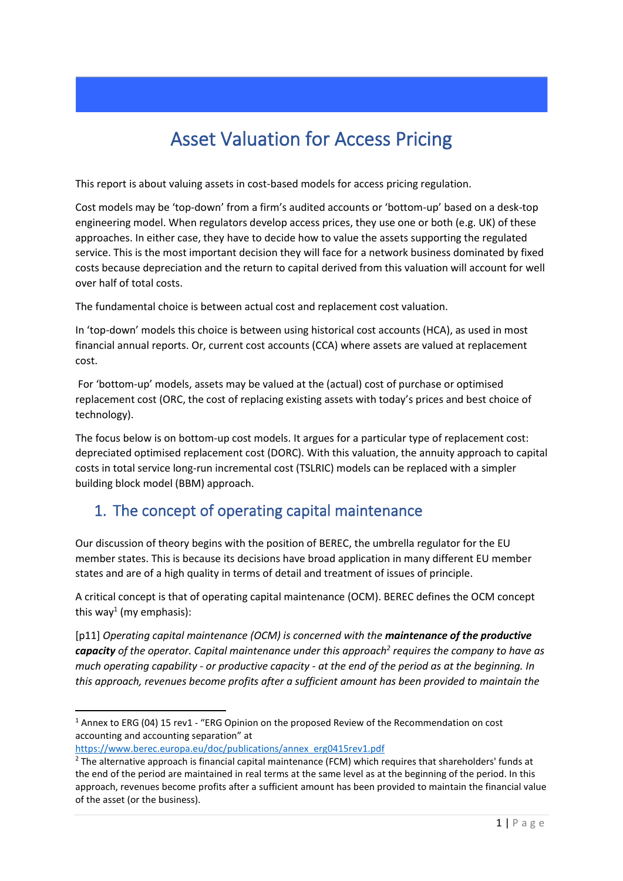# Asset Valuation for Access Pricing

This report is about valuing assets in cost-based models for access pricing regulation.

Cost models may be 'top-down' from a firm's audited accounts or 'bottom-up' based on a desk-top engineering model. When regulators develop access prices, they use one or both (e.g. UK) of these approaches. In either case, they have to decide how to value the assets supporting the regulated service. This is the most important decision they will face for a network business dominated by fixed costs because depreciation and the return to capital derived from this valuation will account for well over half of total costs.

The fundamental choice is between actual cost and replacement cost valuation.

In 'top-down' models this choice is between using historical cost accounts (HCA), as used in most financial annual reports. Or, current cost accounts (CCA) where assets are valued at replacement cost.

For 'bottom-up' models, assets may be valued at the (actual) cost of purchase or optimised replacement cost (ORC, the cost of replacing existing assets with today's prices and best choice of technology).

The focus below is on bottom-up cost models. It argues for a particular type of replacement cost: depreciated optimised replacement cost (DORC). With this valuation, the annuity approach to capital costs in total service long-run incremental cost (TSLRIC) models can be replaced with a simpler building block model (BBM) approach.

## 1. The concept of operating capital maintenance

Our discussion of theory begins with the position of BEREC, the umbrella regulator for the EU member states. This is because its decisions have broad application in many different EU member states and are of a high quality in terms of detail and treatment of issues of principle.

A critical concept is that of operating capital maintenance (OCM). BEREC defines the OCM concept this way<sup>1</sup> (my emphasis):

[p11] *Operating capital maintenance (OCM) is concerned with the maintenance of the productive capacity of the operator. Capital maintenance under this approach<sup>2</sup> requires the company to have as much operating capability - or productive capacity - at the end of the period as at the beginning. In this approach, revenues become profits after a sufficient amount has been provided to maintain the* 

<sup>&</sup>lt;sup>1</sup> Annex to ERG (04) 15 rev1 - "ERG Opinion on the proposed Review of the Recommendation on cost accounting and accounting separation" at

[https://www.berec.europa.eu/doc/publications/annex\\_erg0415rev1.pdf](https://www.berec.europa.eu/doc/publications/annex_erg0415rev1.pdf)

 $2$  The alternative approach is financial capital maintenance (FCM) which requires that shareholders' funds at the end of the period are maintained in real terms at the same level as at the beginning of the period. In this approach, revenues become profits after a sufficient amount has been provided to maintain the financial value of the asset (or the business).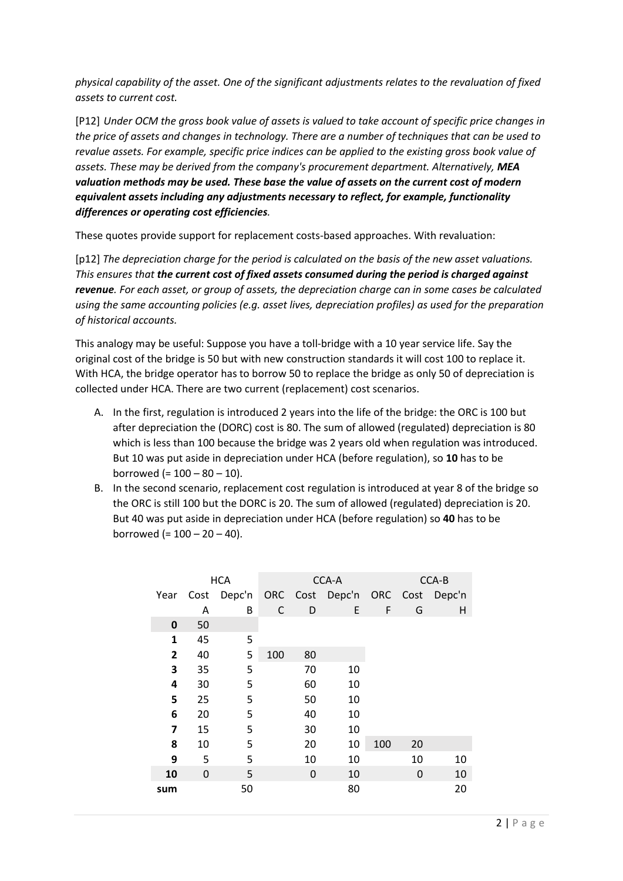*physical capability of the asset. One of the significant adjustments relates to the revaluation of fixed assets to current cost.*

[P12] *Under OCM the gross book value of assets is valued to take account of specific price changes in the price of assets and changes in technology. There are a number of techniques that can be used to revalue assets. For example, specific price indices can be applied to the existing gross book value of assets. These may be derived from the company's procurement department. Alternatively, MEA valuation methods may be used. These base the value of assets on the current cost of modern equivalent assets including any adjustments necessary to reflect, for example, functionality differences or operating cost efficiencies.*

These quotes provide support for replacement costs-based approaches. With revaluation:

[p12] *The depreciation charge for the period is calculated on the basis of the new asset valuations. This ensures that the current cost of fixed assets consumed during the period is charged against revenue. For each asset, or group of assets, the depreciation charge can in some cases be calculated using the same accounting policies (e.g. asset lives, depreciation profiles) as used for the preparation of historical accounts.*

This analogy may be useful: Suppose you have a toll-bridge with a 10 year service life. Say the original cost of the bridge is 50 but with new construction standards it will cost 100 to replace it. With HCA, the bridge operator has to borrow 50 to replace the bridge as only 50 of depreciation is collected under HCA. There are two current (replacement) cost scenarios.

- A. In the first, regulation is introduced 2 years into the life of the bridge: the ORC is 100 but after depreciation the (DORC) cost is 80. The sum of allowed (regulated) depreciation is 80 which is less than 100 because the bridge was 2 years old when regulation was introduced. But 10 was put aside in depreciation under HCA (before regulation), so **10** has to be borrowed (=  $100 - 80 - 10$ ).
- B. In the second scenario, replacement cost regulation is introduced at year 8 of the bridge so the ORC is still 100 but the DORC is 20. The sum of allowed (regulated) depreciation is 20. But 40 was put aside in depreciation under HCA (before regulation) so **40** has to be borrowed (= 100 – 20 – 40).

|              |      | <b>HCA</b> |     | CCA-A | CCA-B                           |     |    |    |  |
|--------------|------|------------|-----|-------|---------------------------------|-----|----|----|--|
| Year         | Cost | Depc'n     |     |       | ORC Cost Depc'n ORC Cost Depc'n |     |    |    |  |
|              | Α    | B          | C   | D     | E                               | F   | G  | н  |  |
| 0            | 50   |            |     |       |                                 |     |    |    |  |
| $\mathbf{1}$ | 45   | 5          |     |       |                                 |     |    |    |  |
| 2            | 40   | 5          | 100 | 80    |                                 |     |    |    |  |
| 3            | 35   | 5          |     | 70    | 10                              |     |    |    |  |
| 4            | 30   | 5          |     | 60    | 10                              |     |    |    |  |
| 5            | 25   | 5          |     | 50    | 10                              |     |    |    |  |
| 6            | 20   | 5          |     | 40    | 10                              |     |    |    |  |
| 7            | 15   | 5          |     | 30    | 10                              |     |    |    |  |
| 8            | 10   | 5          |     | 20    | 10                              | 100 | 20 |    |  |
| 9            | 5    | 5          |     | 10    | 10                              |     | 10 | 10 |  |
| 10           | 0    | 5          |     | 0     | 10                              |     | 0  | 10 |  |
| sum          |      | 50         |     |       | 80                              |     |    | 20 |  |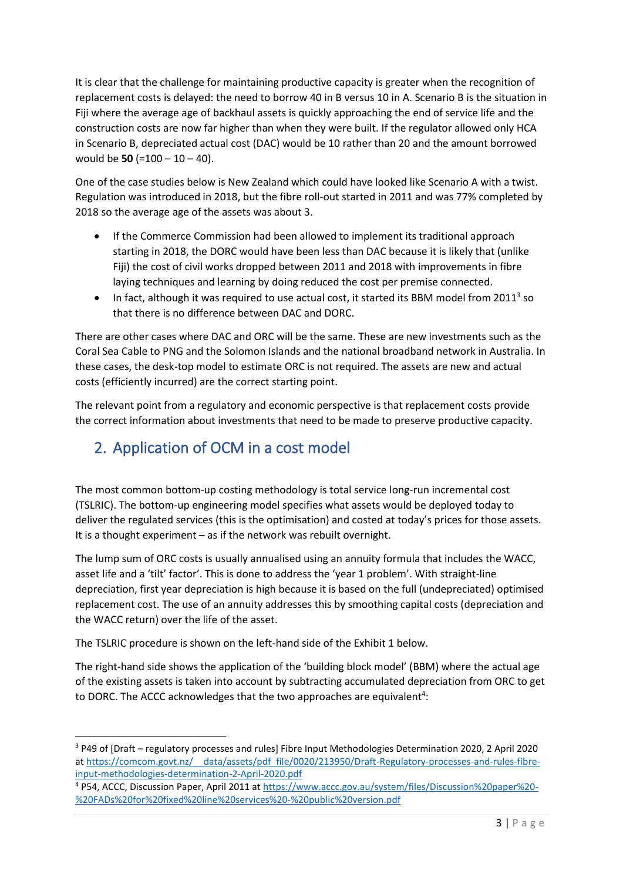It is clear that the challenge for maintaining productive capacity is greater when the recognition of replacement costs is delayed: the need to borrow 40 in B versus 10 in A. Scenario B is the situation in Fiji where the average age of backhaul assets is quickly approaching the end of service life and the construction costs are now far higher than when they were built. If the regulator allowed only HCA in Scenario B, depreciated actual cost (DAC) would be 10 rather than 20 and the amount borrowed would be **50** (=100 – 10 – 40).

One of the case studies below is New Zealand which could have looked like Scenario A with a twist. Regulation was introduced in 2018, but the fibre roll-out started in 2011 and was 77% completed by 2018 so the average age of the assets was about 3.

- If the Commerce Commission had been allowed to implement its traditional approach starting in 2018, the DORC would have been less than DAC because it is likely that (unlike Fiji) the cost of civil works dropped between 2011 and 2018 with improvements in fibre laying techniques and learning by doing reduced the cost per premise connected.
- $\bullet$  In fact, although it was required to use actual cost, it started its BBM model from 2011<sup>3</sup> so that there is no difference between DAC and DORC.

There are other cases where DAC and ORC will be the same. These are new investments such as the Coral Sea Cable to PNG and the Solomon Islands and the national broadband network in Australia. In these cases, the desk-top model to estimate ORC is not required. The assets are new and actual costs (efficiently incurred) are the correct starting point.

The relevant point from a regulatory and economic perspective is that replacement costs provide the correct information about investments that need to be made to preserve productive capacity.

# 2. Application of OCM in a cost model

The most common bottom-up costing methodology is total service long-run incremental cost (TSLRIC). The bottom-up engineering model specifies what assets would be deployed today to deliver the regulated services (this is the optimisation) and costed at today's prices for those assets. It is a thought experiment – as if the network was rebuilt overnight.

The lump sum of ORC costs is usually annualised using an annuity formula that includes the WACC, asset life and a 'tilt' factor'. This is done to address the 'year 1 problem'. With straight-line depreciation, first year depreciation is high because it is based on the full (undepreciated) optimised replacement cost. The use of an annuity addresses this by smoothing capital costs (depreciation and the WACC return) over the life of the asset.

The TSLRIC procedure is shown on the left-hand side of the Exhibit 1 below.

The right-hand side shows the application of the 'building block model' (BBM) where the actual age of the existing assets is taken into account by subtracting accumulated depreciation from ORC to get to DORC. The ACCC acknowledges that the two approaches are equivalent<sup>4</sup>:

<sup>3</sup> P49 of [Draft – regulatory processes and rules] Fibre Input Methodologies Determination 2020, 2 April 2020 at https://comcom.govt.nz/ data/assets/pdf file/0020/213950/Draft-Regulatory-processes-and-rules-fibre[input-methodologies-determination-2-April-2020.pdf](https://comcom.govt.nz/__data/assets/pdf_file/0020/213950/Draft-Regulatory-processes-and-rules-fibre-input-methodologies-determination-2-April-2020.pdf)

<sup>4</sup> P54, ACCC, Discussion Paper, April 2011 a[t https://www.accc.gov.au/system/files/Discussion%20paper%20-](https://www.accc.gov.au/system/files/Discussion%20paper%20-%20FADs%20for%20fixed%20line%20services%20-%20public%20version.pdf) [%20FADs%20for%20fixed%20line%20services%20-%20public%20version.pdf](https://www.accc.gov.au/system/files/Discussion%20paper%20-%20FADs%20for%20fixed%20line%20services%20-%20public%20version.pdf)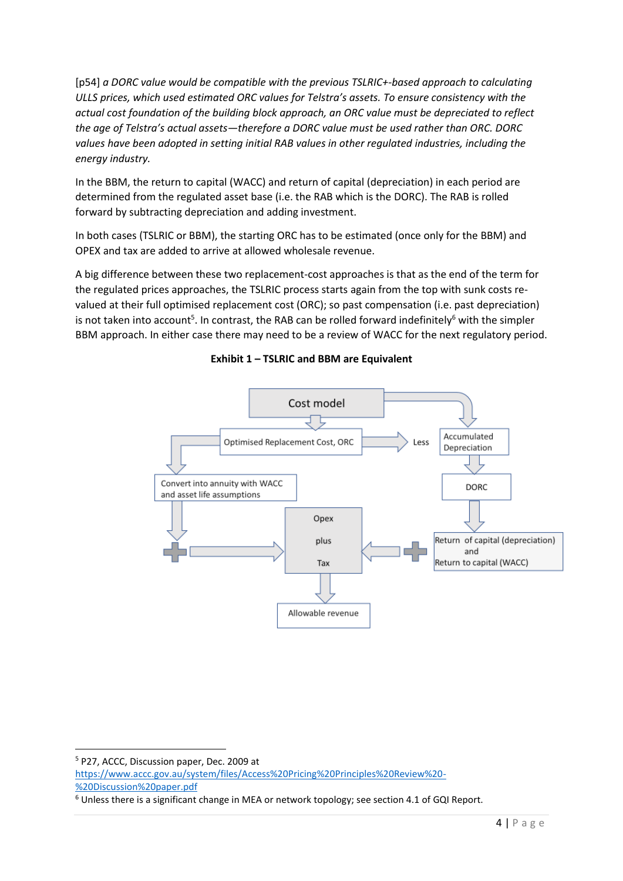[p54] *a DORC value would be compatible with the previous TSLRIC+-based approach to calculating ULLS prices, which used estimated ORC values for Telstra's assets. To ensure consistency with the actual cost foundation of the building block approach, an ORC value must be depreciated to reflect the age of Telstra's actual assets—therefore a DORC value must be used rather than ORC. DORC values have been adopted in setting initial RAB values in other regulated industries, including the energy industry.*

In the BBM, the return to capital (WACC) and return of capital (depreciation) in each period are determined from the regulated asset base (i.e. the RAB which is the DORC). The RAB is rolled forward by subtracting depreciation and adding investment.

In both cases (TSLRIC or BBM), the starting ORC has to be estimated (once only for the BBM) and OPEX and tax are added to arrive at allowed wholesale revenue.

A big difference between these two replacement-cost approaches is that as the end of the term for the regulated prices approaches, the TSLRIC process starts again from the top with sunk costs revalued at their full optimised replacement cost (ORC); so past compensation (i.e. past depreciation) is not taken into account<sup>5</sup>. In contrast, the RAB can be rolled forward indefinitely<sup>6</sup> with the simpler BBM approach. In either case there may need to be a review of WACC for the next regulatory period.



**Exhibit 1 – TSLRIC and BBM are Equivalent**

<sup>5</sup> P27, ACCC, Discussion paper, Dec. 2009 at [https://www.accc.gov.au/system/files/Access%20Pricing%20Principles%20Review%20-](https://www.accc.gov.au/system/files/Access%20Pricing%20Principles%20Review%20-%20Discussion%20paper.pdf) [%20Discussion%20paper.pdf](https://www.accc.gov.au/system/files/Access%20Pricing%20Principles%20Review%20-%20Discussion%20paper.pdf)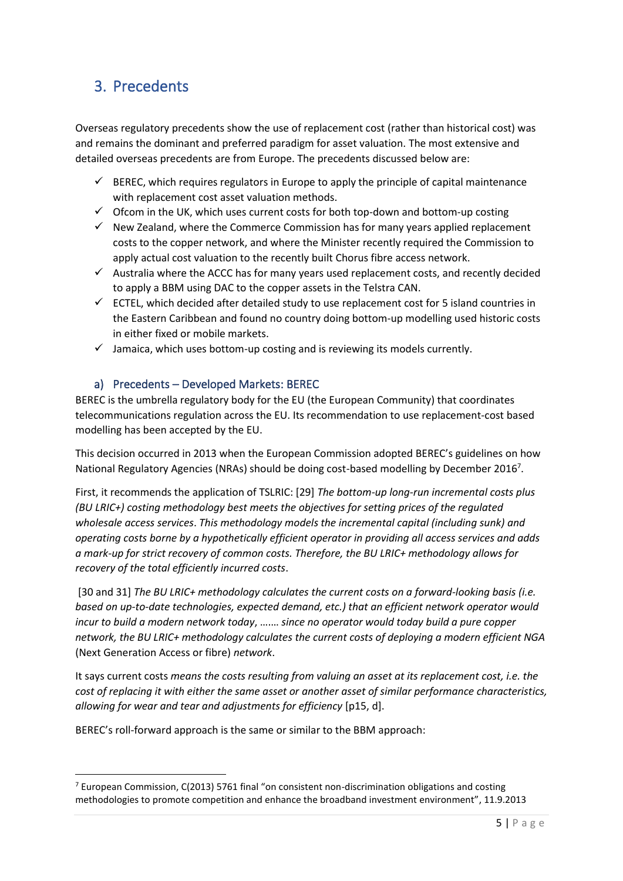## 3. Precedents

Overseas regulatory precedents show the use of replacement cost (rather than historical cost) was and remains the dominant and preferred paradigm for asset valuation. The most extensive and detailed overseas precedents are from Europe. The precedents discussed below are:

- $\checkmark$  BEREC, which requires regulators in Europe to apply the principle of capital maintenance with replacement cost asset valuation methods.
- $\checkmark$  Ofcom in the UK, which uses current costs for both top-down and bottom-up costing
- $\checkmark$  New Zealand, where the Commerce Commission has for many years applied replacement costs to the copper network, and where the Minister recently required the Commission to apply actual cost valuation to the recently built Chorus fibre access network.
- $\checkmark$  Australia where the ACCC has for many years used replacement costs, and recently decided to apply a BBM using DAC to the copper assets in the Telstra CAN.
- ✓ ECTEL, which decided after detailed study to use replacement cost for 5 island countries in the Eastern Caribbean and found no country doing bottom-up modelling used historic costs in either fixed or mobile markets.
- $\checkmark$  Jamaica, which uses bottom-up costing and is reviewing its models currently.

#### a) Precedents – Developed Markets: BEREC

BEREC is the umbrella regulatory body for the EU (the European Community) that coordinates telecommunications regulation across the EU. Its recommendation to use replacement-cost based modelling has been accepted by the EU.

This decision occurred in 2013 when the European Commission adopted BEREC's guidelines on how National Regulatory Agencies (NRAs) should be doing cost-based modelling by December 2016<sup>7</sup>.

First, it recommends the application of TSLRIC: [29] *The bottom-up long-run incremental costs plus (BU LRIC+) costing methodology best meets the objectives for setting prices of the regulated wholesale access services*. *This methodology models the incremental capital (including sunk) and operating costs borne by a hypothetically efficient operator in providing all access services and adds a mark-up for strict recovery of common costs. Therefore, the BU LRIC+ methodology allows for recovery of the total efficiently incurred costs*.

[30 and 31] *The BU LRIC+ methodology calculates the current costs on a forward-looking basis (i.e. based on up-to-date technologies, expected demand, etc.) that an efficient network operator would incur to build a modern network today*, ….… *since no operator would today build a pure copper network, the BU LRIC+ methodology calculates the current costs of deploying a modern efficient NGA*  (Next Generation Access or fibre) *network*.

It says current costs *means the costs resulting from valuing an asset at its replacement cost, i.e. the cost of replacing it with either the same asset or another asset of similar performance characteristics, allowing for wear and tear and adjustments for efficiency* [p15, d].

BEREC's roll-forward approach is the same or similar to the BBM approach:

 $<sup>7</sup>$  European Commission, C(2013) 5761 final "on consistent non-discrimination obligations and costing</sup> methodologies to promote competition and enhance the broadband investment environment", 11.9.2013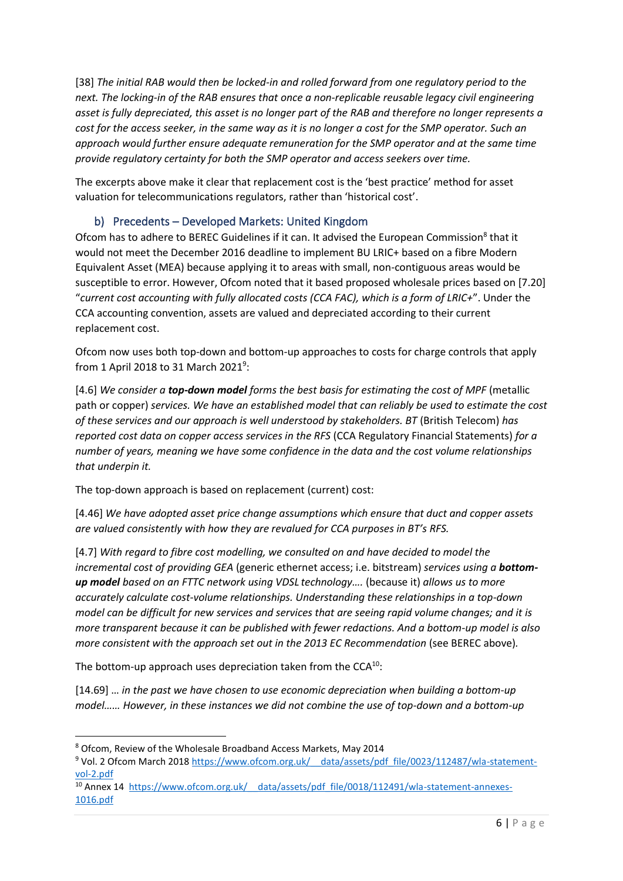[38] *The initial RAB would then be locked-in and rolled forward from one regulatory period to the next. The locking-in of the RAB ensures that once a non-replicable reusable legacy civil engineering asset is fully depreciated, this asset is no longer part of the RAB and therefore no longer represents a cost for the access seeker, in the same way as it is no longer a cost for the SMP operator. Such an approach would further ensure adequate remuneration for the SMP operator and at the same time provide regulatory certainty for both the SMP operator and access seekers over time.*

The excerpts above make it clear that replacement cost is the 'best practice' method for asset valuation for telecommunications regulators, rather than 'historical cost'.

#### b) Precedents – Developed Markets: United Kingdom

Ofcom has to adhere to BEREC Guidelines if it can. It advised the European Commission<sup>8</sup> that it would not meet the December 2016 deadline to implement BU LRIC+ based on a fibre Modern Equivalent Asset (MEA) because applying it to areas with small, non-contiguous areas would be susceptible to error. However, Ofcom noted that it based proposed wholesale prices based on [7.20] "*current cost accounting with fully allocated costs (CCA FAC), which is a form of LRIC+*". Under the CCA accounting convention, assets are valued and depreciated according to their current replacement cost.

Ofcom now uses both top-down and bottom-up approaches to costs for charge controls that apply from 1 April 2018 to 31 March 2021<sup>9</sup>:

[4.6] *We consider a top-down model forms the best basis for estimating the cost of MPF* (metallic path or copper) *services. We have an established model that can reliably be used to estimate the cost of these services and our approach is well understood by stakeholders. BT* (British Telecom) *has reported cost data on copper access services in the RFS* (CCA Regulatory Financial Statements) *for a number of years, meaning we have some confidence in the data and the cost volume relationships that underpin it.*

The top-down approach is based on replacement (current) cost:

[4.46] *We have adopted asset price change assumptions which ensure that duct and copper assets are valued consistently with how they are revalued for CCA purposes in BT's RFS.*

[4.7] *With regard to fibre cost modelling, we consulted on and have decided to model the incremental cost of providing GEA* (generic ethernet access; i.e. bitstream) *services using a bottomup model based on an FTTC network using VDSL technology….* (because it) *allows us to more accurately calculate cost-volume relationships. Understanding these relationships in a top-down model can be difficult for new services and services that are seeing rapid volume changes; and it is more transparent because it can be published with fewer redactions. And a bottom-up model is also more consistent with the approach set out in the 2013 EC Recommendation* (see BEREC above)*.*

The bottom-up approach uses depreciation taken from the  $CCA^{10}$ :

[14.69] … *in the past we have chosen to use economic depreciation when building a bottom-up model…… However, in these instances we did not combine the use of top-down and a bottom-up* 

<sup>8</sup> Ofcom, Review of the Wholesale Broadband Access Markets, May 2014

<sup>9</sup> Vol. 2 Ofcom March 2018 https://www.ofcom.org.uk/ data/assets/pdf file/0023/112487/wla-statement[vol-2.pdf](https://www.ofcom.org.uk/__data/assets/pdf_file/0023/112487/wla-statement-vol-2.pdf)

<sup>&</sup>lt;sup>10</sup> Annex 14 https://www.ofcom.org.uk/ data/assets/pdf file/0018/112491/wla-statement-annexes-[1016.pdf](https://www.ofcom.org.uk/__data/assets/pdf_file/0018/112491/wla-statement-annexes-1016.pdf)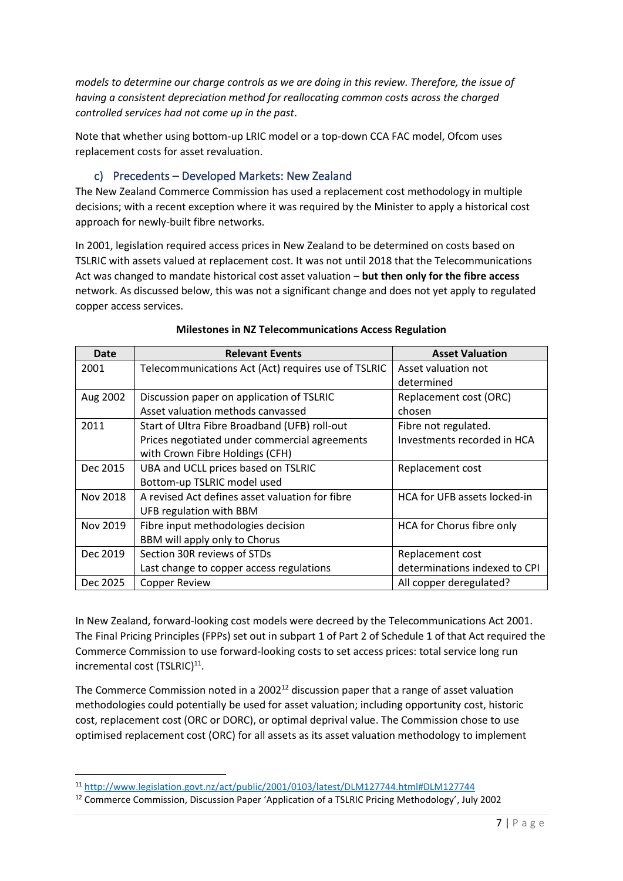*models to determine our charge controls as we are doing in this review. Therefore, the issue of having a consistent depreciation method for reallocating common costs across the charged controlled services had not come up in the past*.

Note that whether using bottom-up LRIC model or a top-down CCA FAC model, Ofcom uses replacement costs for asset revaluation.

#### c) Precedents – Developed Markets: New Zealand

The New Zealand Commerce Commission has used a replacement cost methodology in multiple decisions; with a recent exception where it was required by the Minister to apply a historical cost approach for newly-built fibre networks.

In 2001, legislation required access prices in New Zealand to be determined on costs based on TSLRIC with assets valued at replacement cost. It was not until 2018 that the Telecommunications Act was changed to mandate historical cost asset valuation – **but then only for the fibre access** network. As discussed below, this was not a significant change and does not yet apply to regulated copper access services.

| Date     | <b>Relevant Events</b>                              | <b>Asset Valuation</b>        |  |  |  |  |  |  |
|----------|-----------------------------------------------------|-------------------------------|--|--|--|--|--|--|
| 2001     | Telecommunications Act (Act) requires use of TSLRIC | Asset valuation not           |  |  |  |  |  |  |
|          |                                                     | determined                    |  |  |  |  |  |  |
| Aug 2002 | Discussion paper on application of TSLRIC           | Replacement cost (ORC)        |  |  |  |  |  |  |
|          | Asset valuation methods canvassed                   | chosen                        |  |  |  |  |  |  |
| 2011     | Start of Ultra Fibre Broadband (UFB) roll-out       | Fibre not regulated.          |  |  |  |  |  |  |
|          | Prices negotiated under commercial agreements       | Investments recorded in HCA   |  |  |  |  |  |  |
|          | with Crown Fibre Holdings (CFH)                     |                               |  |  |  |  |  |  |
| Dec 2015 | UBA and UCLL prices based on TSLRIC                 | Replacement cost              |  |  |  |  |  |  |
|          | Bottom-up TSLRIC model used                         |                               |  |  |  |  |  |  |
| Nov 2018 | A revised Act defines asset valuation for fibre     | HCA for UFB assets locked-in  |  |  |  |  |  |  |
|          | UFB regulation with BBM                             |                               |  |  |  |  |  |  |
| Nov 2019 | Fibre input methodologies decision                  | HCA for Chorus fibre only     |  |  |  |  |  |  |
|          | BBM will apply only to Chorus                       |                               |  |  |  |  |  |  |
| Dec 2019 | Section 30R reviews of STDs                         | Replacement cost              |  |  |  |  |  |  |
|          | Last change to copper access regulations            | determinations indexed to CPI |  |  |  |  |  |  |
| Dec 2025 | <b>Copper Review</b>                                | All copper deregulated?       |  |  |  |  |  |  |

#### **Milestones in NZ Telecommunications Access Regulation**

In New Zealand, forward-looking cost models were decreed by the Telecommunications Act 2001. The Final Pricing Principles (FPPs) set out in subpart 1 of Part 2 of Schedule 1 of that Act required the Commerce Commission to use forward-looking costs to set access prices: total service long run incremental cost (TSLRIC)<sup>11</sup>.

The Commerce Commission noted in a 2002<sup>12</sup> discussion paper that a range of asset valuation methodologies could potentially be used for asset valuation; including opportunity cost, historic cost, replacement cost (ORC or DORC), or optimal deprival value. The Commission chose to use optimised replacement cost (ORC) for all assets as its asset valuation methodology to implement

<sup>11</sup> <http://www.legislation.govt.nz/act/public/2001/0103/latest/DLM127744.html#DLM127744>

<sup>12</sup> Commerce Commission, Discussion Paper 'Application of a TSLRIC Pricing Methodology', July 2002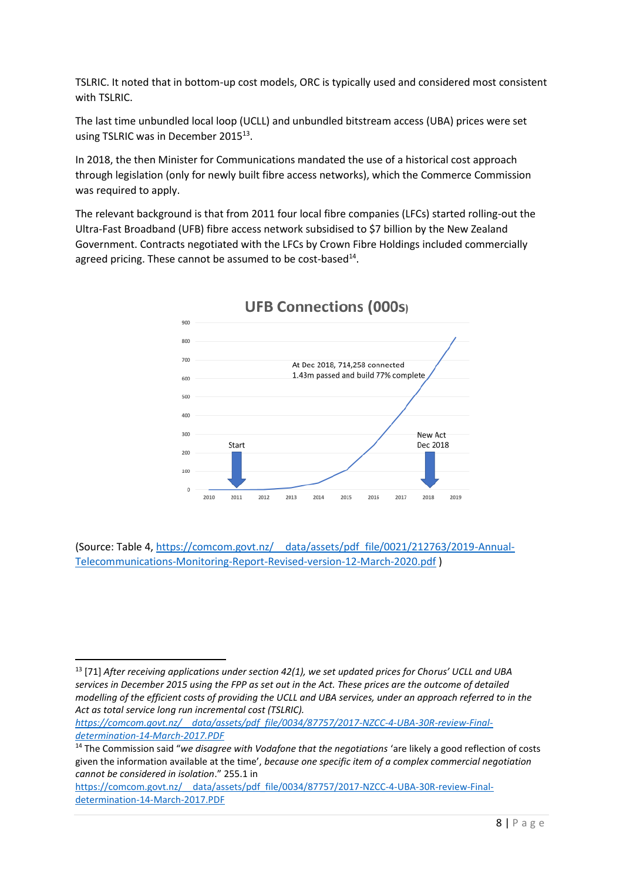TSLRIC. It noted that in bottom-up cost models, ORC is typically used and considered most consistent with TSLRIC.

The last time unbundled local loop (UCLL) and unbundled bitstream access (UBA) prices were set using TSLRIC was in December 2015<sup>13</sup>.

In 2018, the then Minister for Communications mandated the use of a historical cost approach through legislation (only for newly built fibre access networks), which the Commerce Commission was required to apply.

The relevant background is that from 2011 four local fibre companies (LFCs) started rolling-out the Ultra-Fast Broadband (UFB) fibre access network subsidised to \$7 billion by the New Zealand Government. Contracts negotiated with the LFCs by Crown Fibre Holdings included commercially agreed pricing. These cannot be assumed to be cost-based<sup>14</sup>.



### **UFB Connections (000s)**

(Source: Table 4, [https://comcom.govt.nz/\\_\\_data/assets/pdf\\_file/0021/212763/2019-Annual-](https://comcom.govt.nz/__data/assets/pdf_file/0021/212763/2019-Annual-Telecommunications-Monitoring-Report-Revised-version-12-March-2020.pdf)[Telecommunications-Monitoring-Report-Revised-version-12-March-2020.pdf](https://comcom.govt.nz/__data/assets/pdf_file/0021/212763/2019-Annual-Telecommunications-Monitoring-Report-Revised-version-12-March-2020.pdf) )

*[https://comcom.govt.nz/\\_\\_data/assets/pdf\\_file/0034/87757/2017-NZCC-4-UBA-30R-review-Final](https://comcom.govt.nz/__data/assets/pdf_file/0034/87757/2017-NZCC-4-UBA-30R-review-Final-determination-14-March-2017.PDF)[determination-14-March-2017.PDF](https://comcom.govt.nz/__data/assets/pdf_file/0034/87757/2017-NZCC-4-UBA-30R-review-Final-determination-14-March-2017.PDF)*

<sup>13</sup> [71] *After receiving applications under section 42(1), we set updated prices for Chorus' UCLL and UBA services in December 2015 using the FPP as set out in the Act. These prices are the outcome of detailed modelling of the efficient costs of providing the UCLL and UBA services, under an approach referred to in the Act as total service long run incremental cost (TSLRIC).*

<sup>14</sup> The Commission said "*we disagree with Vodafone that the negotiations* 'are likely a good reflection of costs given the information available at the time', *because one specific item of a complex commercial negotiation cannot be considered in isolation*." 255.1 in

[https://comcom.govt.nz/\\_\\_data/assets/pdf\\_file/0034/87757/2017-NZCC-4-UBA-30R-review-Final](https://comcom.govt.nz/__data/assets/pdf_file/0034/87757/2017-NZCC-4-UBA-30R-review-Final-determination-14-March-2017.PDF)[determination-14-March-2017.PDF](https://comcom.govt.nz/__data/assets/pdf_file/0034/87757/2017-NZCC-4-UBA-30R-review-Final-determination-14-March-2017.PDF)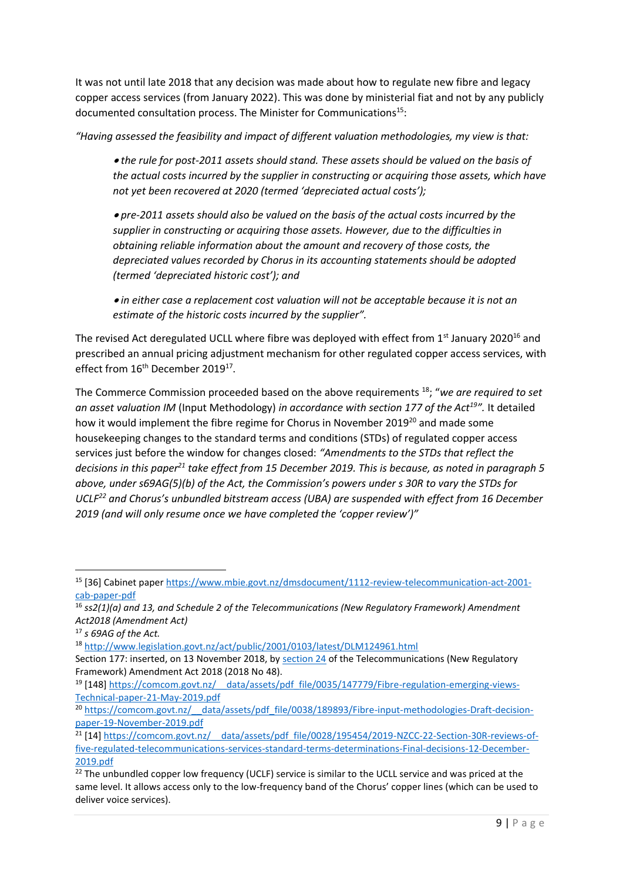It was not until late 2018 that any decision was made about how to regulate new fibre and legacy copper access services (from January 2022). This was done by ministerial fiat and not by any publicly documented consultation process. The Minister for Communications<sup>15</sup>:

*"Having assessed the feasibility and impact of different valuation methodologies, my view is that:*

• *the rule for post-2011 assets should stand. These assets should be valued on the basis of the actual costs incurred by the supplier in constructing or acquiring those assets, which have not yet been recovered at 2020 (termed 'depreciated actual costs');*

• *pre-2011 assets should also be valued on the basis of the actual costs incurred by the supplier in constructing or acquiring those assets. However, due to the difficulties in obtaining reliable information about the amount and recovery of those costs, the depreciated values recorded by Chorus in its accounting statements should be adopted (termed 'depreciated historic cost'); and*

• *in either case a replacement cost valuation will not be acceptable because it is not an estimate of the historic costs incurred by the supplier".*

The revised Act deregulated UCLL where fibre was deployed with effect from  $1<sup>st</sup>$  January 2020<sup>16</sup> and prescribed an annual pricing adjustment mechanism for other regulated copper access services, with effect from 16<sup>th</sup> December 2019<sup>17</sup>.

The Commerce Commission proceeded based on the above requirements <sup>18</sup>; "*we are required to set an asset valuation IM* (Input Methodology) *in accordance with section 177 of the Act<sup>19</sup>".* It detailed how it would implement the fibre regime for Chorus in November 2019<sup>20</sup> and made some housekeeping changes to the standard terms and conditions (STDs) of regulated copper access services just before the window for changes closed: *"Amendments to the STDs that reflect the decisions in this paper<sup>21</sup> take effect from 15 December 2019. This is because, as noted in paragraph 5 above, under s69AG(5)(b) of the Act, the Commission's powers under s 30R to vary the STDs for UCLF<sup>22</sup> and Chorus's unbundled bitstream access (UBA) are suspended with effect from 16 December 2019 (and will only resume once we have completed the 'copper review')"*

<sup>15</sup> [36] Cabinet paper [https://www.mbie.govt.nz/dmsdocument/1112-review-telecommunication-act-2001](https://www.mbie.govt.nz/dmsdocument/1112-review-telecommunication-act-2001-cab-paper-pdf) [cab-paper-pdf](https://www.mbie.govt.nz/dmsdocument/1112-review-telecommunication-act-2001-cab-paper-pdf)

<sup>16</sup> *ss2(1)(a) and 13, and Schedule 2 of the Telecommunications (New Regulatory Framework) Amendment Act2018 (Amendment Act)*

<sup>17</sup> *s 69AG of the Act.*

<sup>18</sup> <http://www.legislation.govt.nz/act/public/2001/0103/latest/DLM124961.html>

Section 177: inserted, on 13 November 2018, by [section 24](http://www.legislation.govt.nz/act/public/2001/0103/latest/link.aspx?id=LMS111562) of the Telecommunications (New Regulatory Framework) Amendment Act 2018 (2018 No 48).

<sup>&</sup>lt;sup>19</sup> [148] https://comcom.govt.nz/ data/assets/pdf file/0035/147779/Fibre-regulation-emerging-views-[Technical-paper-21-May-2019.pdf](https://comcom.govt.nz/__data/assets/pdf_file/0035/147779/Fibre-regulation-emerging-views-Technical-paper-21-May-2019.pdf)

<sup>&</sup>lt;sup>20</sup> https://comcom.govt.nz/ data/assets/pdf\_file/0038/189893/Fibre-input-methodologies-Draft-decision[paper-19-November-2019.pdf](https://comcom.govt.nz/__data/assets/pdf_file/0038/189893/Fibre-input-methodologies-Draft-decision-paper-19-November-2019.pdf)

<sup>&</sup>lt;sup>21</sup> [14] https://comcom.govt.nz/ data/assets/pdf file/0028/195454/2019-NZCC-22-Section-30R-reviews-of[five-regulated-telecommunications-services-standard-terms-determinations-Final-decisions-12-December-](https://comcom.govt.nz/__data/assets/pdf_file/0028/195454/2019-NZCC-22-Section-30R-reviews-of-five-regulated-telecommunications-services-standard-terms-determinations-Final-decisions-12-December-2019.pdf)[2019.pdf](https://comcom.govt.nz/__data/assets/pdf_file/0028/195454/2019-NZCC-22-Section-30R-reviews-of-five-regulated-telecommunications-services-standard-terms-determinations-Final-decisions-12-December-2019.pdf)

<sup>&</sup>lt;sup>22</sup> The unbundled copper low frequency (UCLF) service is similar to the UCLL service and was priced at the same level. It allows access only to the low-frequency band of the Chorus' copper lines (which can be used to deliver voice services).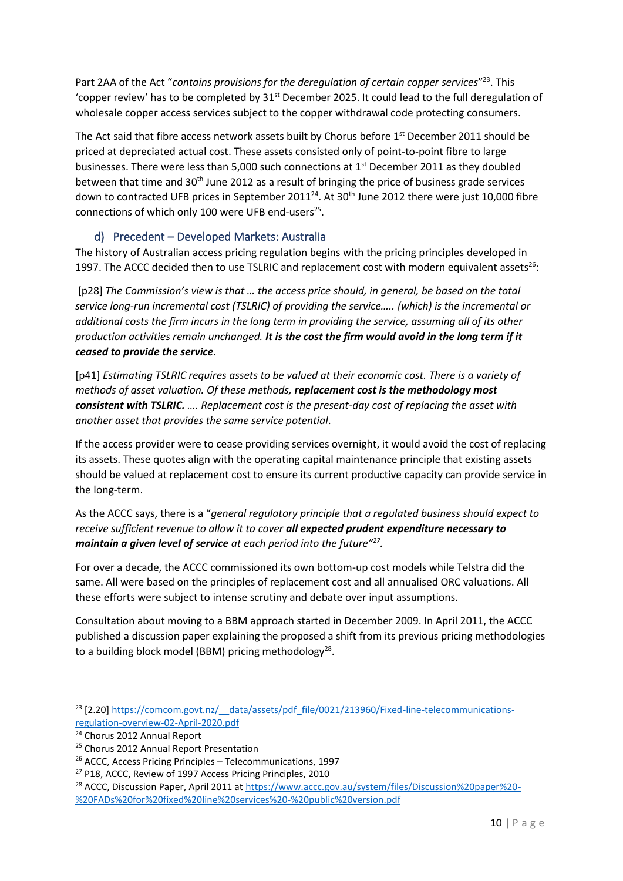Part 2AA of the Act "contains provisions for the deregulation of certain copper services"<sup>23</sup>. This 'copper review' has to be completed by 31<sup>st</sup> December 2025. It could lead to the full deregulation of wholesale copper access services subject to the copper withdrawal code protecting consumers.

The Act said that fibre access network assets built by Chorus before 1<sup>st</sup> December 2011 should be priced at depreciated actual cost. These assets consisted only of point-to-point fibre to large businesses. There were less than 5,000 such connections at 1<sup>st</sup> December 2011 as they doubled between that time and 30<sup>th</sup> June 2012 as a result of bringing the price of business grade services down to contracted UFB prices in September 2011<sup>24</sup>. At 30<sup>th</sup> June 2012 there were just 10,000 fibre connections of which only 100 were UFB end-users<sup>25</sup>.

#### d) Precedent – Developed Markets: Australia

The history of Australian access pricing regulation begins with the pricing principles developed in 1997. The ACCC decided then to use TSLRIC and replacement cost with modern equivalent assets $^{26}$ :

[p28] The Commission's view is that ... the access price should, in general, be based on the total *service long-run incremental cost (TSLRIC) of providing the service….. (which) is the incremental or additional costs the firm incurs in the long term in providing the service, assuming all of its other production activities remain unchanged. It is the cost the firm would avoid in the long term if it ceased to provide the service.*

[p41] *Estimating TSLRIC requires assets to be valued at their economic cost. There is a variety of methods of asset valuation. Of these methods, replacement cost is the methodology most consistent with TSLRIC. …. Replacement cost is the present-day cost of replacing the asset with another asset that provides the same service potential*.

If the access provider were to cease providing services overnight, it would avoid the cost of replacing its assets. These quotes align with the operating capital maintenance principle that existing assets should be valued at replacement cost to ensure its current productive capacity can provide service in the long-term.

As the ACCC says, there is a "*general regulatory principle that a regulated business should expect to receive sufficient revenue to allow it to cover all expected prudent expenditure necessary to maintain a given level of service at each period into the future"<sup>27</sup> .*

For over a decade, the ACCC commissioned its own bottom-up cost models while Telstra did the same. All were based on the principles of replacement cost and all annualised ORC valuations. All these efforts were subject to intense scrutiny and debate over input assumptions.

Consultation about moving to a BBM approach started in December 2009. In April 2011, the ACCC published a discussion paper explaining the proposed a shift from its previous pricing methodologies to a building block model (BBM) pricing methodology<sup>28</sup>.

<sup>&</sup>lt;sup>23</sup> [2.20] https://comcom.govt.nz/ data/assets/pdf file/0021/213960/Fixed-line-telecommunications[regulation-overview-02-April-2020.pdf](https://comcom.govt.nz/__data/assets/pdf_file/0021/213960/Fixed-line-telecommunications-regulation-overview-02-April-2020.pdf) 

<sup>24</sup> Chorus 2012 Annual Report

<sup>&</sup>lt;sup>25</sup> Chorus 2012 Annual Report Presentation

<sup>26</sup> ACCC, Access Pricing Principles – Telecommunications, 1997

<sup>27</sup> P18, ACCC, Review of 1997 Access Pricing Principles, 2010

<sup>28</sup> ACCC, Discussion Paper, April 2011 at [https://www.accc.gov.au/system/files/Discussion%20paper%20-](https://www.accc.gov.au/system/files/Discussion%20paper%20-%20FADs%20for%20fixed%20line%20services%20-%20public%20version.pdf) [%20FADs%20for%20fixed%20line%20services%20-%20public%20version.pdf](https://www.accc.gov.au/system/files/Discussion%20paper%20-%20FADs%20for%20fixed%20line%20services%20-%20public%20version.pdf)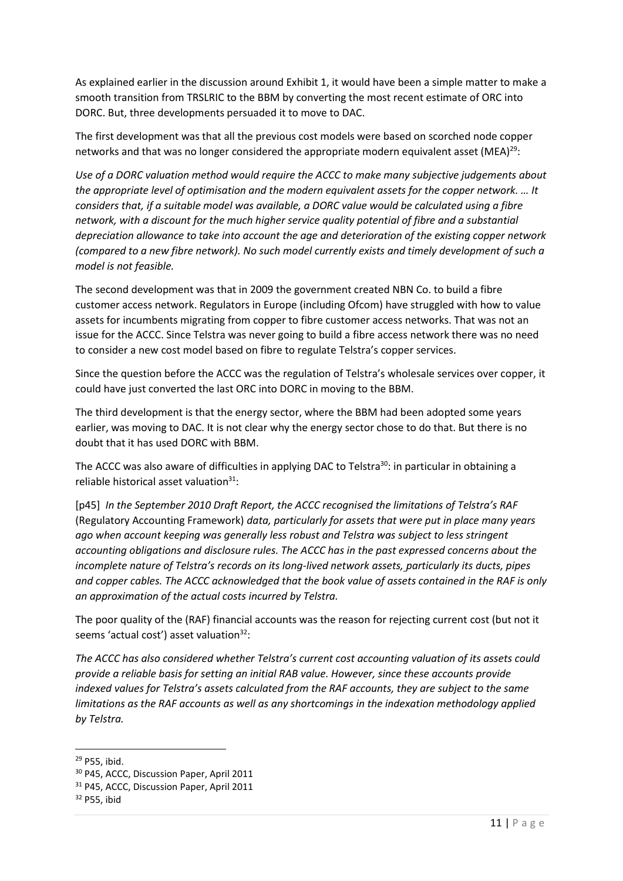As explained earlier in the discussion around Exhibit 1, it would have been a simple matter to make a smooth transition from TRSLRIC to the BBM by converting the most recent estimate of ORC into DORC. But, three developments persuaded it to move to DAC.

The first development was that all the previous cost models were based on scorched node copper networks and that was no longer considered the appropriate modern equivalent asset (MEA)<sup>29</sup>:

*Use of a DORC valuation method would require the ACCC to make many subjective judgements about the appropriate level of optimisation and the modern equivalent assets for the copper network. … It considers that, if a suitable model was available, a DORC value would be calculated using a fibre network, with a discount for the much higher service quality potential of fibre and a substantial depreciation allowance to take into account the age and deterioration of the existing copper network (compared to a new fibre network). No such model currently exists and timely development of such a model is not feasible.*

The second development was that in 2009 the government created NBN Co. to build a fibre customer access network. Regulators in Europe (including Ofcom) have struggled with how to value assets for incumbents migrating from copper to fibre customer access networks. That was not an issue for the ACCC. Since Telstra was never going to build a fibre access network there was no need to consider a new cost model based on fibre to regulate Telstra's copper services.

Since the question before the ACCC was the regulation of Telstra's wholesale services over copper, it could have just converted the last ORC into DORC in moving to the BBM.

The third development is that the energy sector, where the BBM had been adopted some years earlier, was moving to DAC. It is not clear why the energy sector chose to do that. But there is no doubt that it has used DORC with BBM.

The ACCC was also aware of difficulties in applying DAC to Telstra<sup>30</sup>: in particular in obtaining a reliable historical asset valuation $31$ :

[p45] *In the September 2010 Draft Report, the ACCC recognised the limitations of Telstra's RAF*  (Regulatory Accounting Framework) *data, particularly for assets that were put in place many years ago when account keeping was generally less robust and Telstra was subject to less stringent accounting obligations and disclosure rules. The ACCC has in the past expressed concerns about the incomplete nature of Telstra's records on its long-lived network assets, particularly its ducts, pipes and copper cables. The ACCC acknowledged that the book value of assets contained in the RAF is only an approximation of the actual costs incurred by Telstra.*

The poor quality of the (RAF) financial accounts was the reason for rejecting current cost (but not it seems 'actual cost') asset valuation<sup>32</sup>:

*The ACCC has also considered whether Telstra's current cost accounting valuation of its assets could provide a reliable basis for setting an initial RAB value. However, since these accounts provide indexed values for Telstra's assets calculated from the RAF accounts, they are subject to the same limitations as the RAF accounts as well as any shortcomings in the indexation methodology applied by Telstra.*

<sup>29</sup> P55, ibid.

<sup>30</sup> P45, ACCC, Discussion Paper, April 2011

<sup>&</sup>lt;sup>31</sup> P45, ACCC, Discussion Paper, April 2011

<sup>32</sup> P55, ibid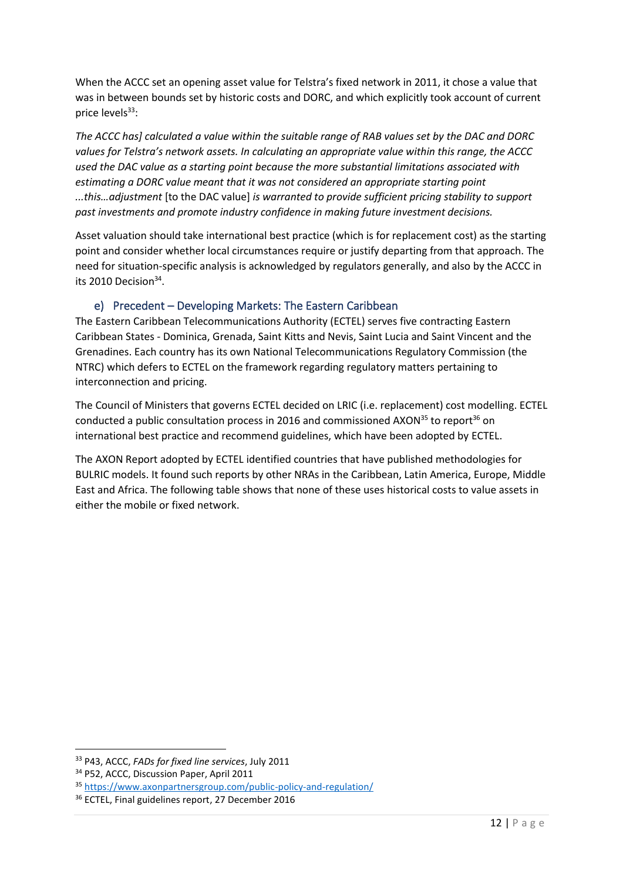When the ACCC set an opening asset value for Telstra's fixed network in 2011, it chose a value that was in between bounds set by historic costs and DORC, and which explicitly took account of current price levels<sup>33</sup>:

*The ACCC has] calculated a value within the suitable range of RAB values set by the DAC and DORC values for Telstra's network assets. In calculating an appropriate value within this range, the ACCC used the DAC value as a starting point because the more substantial limitations associated with estimating a DORC value meant that it was not considered an appropriate starting point ...this…adjustment* [to the DAC value] *is warranted to provide sufficient pricing stability to support past investments and promote industry confidence in making future investment decisions.* 

Asset valuation should take international best practice (which is for replacement cost) as the starting point and consider whether local circumstances require or justify departing from that approach. The need for situation-specific analysis is acknowledged by regulators generally, and also by the ACCC in its 2010 Decision $34$ .

#### e) Precedent – Developing Markets: The Eastern Caribbean

The Eastern Caribbean Telecommunications Authority (ECTEL) serves five contracting Eastern Caribbean States - Dominica, Grenada, Saint Kitts and Nevis, Saint Lucia and Saint Vincent and the Grenadines. Each country has its own National Telecommunications Regulatory Commission (the NTRC) which defers to ECTEL on the framework regarding regulatory matters pertaining to interconnection and pricing.

The Council of Ministers that governs ECTEL decided on LRIC (i.e. replacement) cost modelling. ECTEL conducted a public consultation process in 2016 and commissioned AXON $35$  to report $36$  on international best practice and recommend guidelines, which have been adopted by ECTEL.

The AXON Report adopted by ECTEL identified countries that have published methodologies for BULRIC models. It found such reports by other NRAs in the Caribbean, Latin America, Europe, Middle East and Africa. The following table shows that none of these uses historical costs to value assets in either the mobile or fixed network.

<sup>33</sup> P43, ACCC, *FADs for fixed line services*, July 2011

<sup>&</sup>lt;sup>34</sup> P52, ACCC, Discussion Paper, April 2011

<sup>35</sup> <https://www.axonpartnersgroup.com/public-policy-and-regulation/>

<sup>36</sup> ECTEL, Final guidelines report, 27 December 2016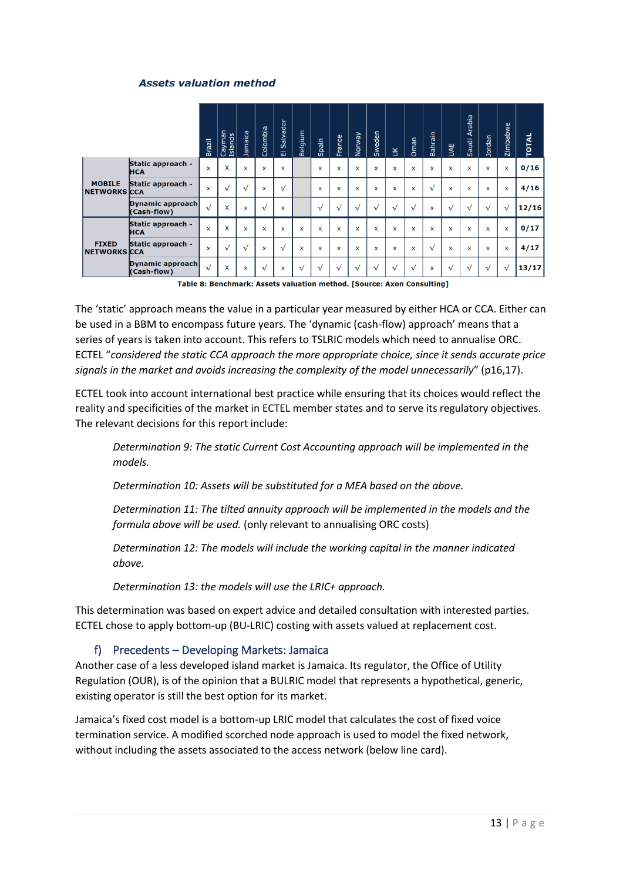#### **Assets valuation method**

|                                      |                                 | <b>Brazil</b> | Cayman<br>Islands | Jamaica      | Colombia     | Salvador<br>画 | Belgium    | Spain        | France       | <b>Norway</b> | Sweden       | $\leq$       | Oman      | Bahrain                   | <b>UAE</b>   | Arabia<br>Saudi           | Jordan    | Zimbabwe     | <b>TOTAL</b> |
|--------------------------------------|---------------------------------|---------------|-------------------|--------------|--------------|---------------|------------|--------------|--------------|---------------|--------------|--------------|-----------|---------------------------|--------------|---------------------------|-----------|--------------|--------------|
| <b>MOBILE</b><br><b>NETWORKS CCA</b> | Static approach -<br><b>HCA</b> | X             | X                 | X            | X            | X             |            | X            | X            | X             | X            | X            | X         | $\boldsymbol{\mathsf{x}}$ | X            | X                         | X         | X            | 0/16         |
|                                      | Static approach -               | $\mathsf{x}$  | $\sqrt{}$         | $\sqrt{}$    | $\mathsf{x}$ | $\sqrt{}$     |            | x            | $\mathsf{x}$ | x             | x            | ×            | x         | $\sqrt{ }$                | $\mathsf{x}$ | $\boldsymbol{\mathsf{x}}$ | X         | x            | 4/16         |
|                                      | Dynamic approach<br>(Cash-flow) | $\sqrt{}$     | X                 | x            | $\sqrt{ }$   | $\mathsf{x}$  |            | $\sqrt{}$    | $\sqrt{}$    | $\sqrt{}$     | $\sqrt{}$    | $\sqrt{}$    | $\sqrt{}$ | x                         | $\sqrt{}$    | $\sqrt{}$                 | $\sqrt{}$ | $\sqrt{}$    | 12/16        |
| <b>FIXED</b><br><b>NETWORKS CCA</b>  | Static approach -<br><b>HCA</b> | $\mathbf x$   | X                 | $\mathsf{x}$ | X            | $\mathsf{x}$  | X          | $\mathsf{x}$ | $\mathsf{x}$ | $\mathsf{x}$  | X            | $\mathsf{x}$ | X         | X                         | $\mathsf{x}$ | $\mathsf{x}$              | x         | $\mathsf{x}$ | 0/17         |
|                                      | Static approach -               | $\mathsf{x}$  | $\sqrt{ }$        | $\sqrt{}$    | X            | $\sqrt{}$     | X          | $\mathsf{x}$ | $\mathsf{x}$ | $\mathsf{x}$  | $\mathsf{x}$ | $\mathsf{x}$ | X         | $\sqrt{}$                 | $\mathsf{x}$ | $\mathsf{x}$              | X         | $\mathsf{x}$ | 4/17         |
|                                      | Dynamic approach<br>(Cash-flow) | $\sqrt{ }$    | X                 | x            | $\sqrt{}$    | X             | $\sqrt{ }$ | √            | $\sqrt{ }$   | $\sqrt{ }$    | $\sqrt{}$    | $\sqrt{ }$   | $\sqrt{}$ | $\boldsymbol{\mathsf{x}}$ | $\sqrt{}$    | $\sqrt{ }$                | $\sqrt{}$ | $\sqrt{}$    | 13/17        |

Table 8: Benchmark: Assets valuation method. [Source: Axon Consulting]

The 'static' approach means the value in a particular year measured by either HCA or CCA. Either can be used in a BBM to encompass future years. The 'dynamic (cash-flow) approach' means that a series of years is taken into account. This refers to TSLRIC models which need to annualise ORC. ECTEL "*considered the static CCA approach the more appropriate choice, since it sends accurate price signals in the market and avoids increasing the complexity of the model unnecessarily*" (p16,17).

ECTEL took into account international best practice while ensuring that its choices would reflect the reality and specificities of the market in ECTEL member states and to serve its regulatory objectives. The relevant decisions for this report include:

*Determination 9: The static Current Cost Accounting approach will be implemented in the models.* 

*Determination 10: Assets will be substituted for a MEA based on the above.* 

*Determination 11: The tilted annuity approach will be implemented in the models and the formula above will be used.* (only relevant to annualising ORC costs)

*Determination 12: The models will include the working capital in the manner indicated above.* 

*Determination 13: the models will use the LRIC+ approach.*

This determination was based on expert advice and detailed consultation with interested parties. ECTEL chose to apply bottom-up (BU-LRIC) costing with assets valued at replacement cost.

#### f) Precedents – Developing Markets: Jamaica

Another case of a less developed island market is Jamaica. Its regulator, the Office of Utility Regulation (OUR), is of the opinion that a BULRIC model that represents a hypothetical, generic, existing operator is still the best option for its market.

Jamaica's fixed cost model is a bottom-up LRIC model that calculates the cost of fixed voice termination service. A modified scorched node approach is used to model the fixed network, without including the assets associated to the access network (below line card).